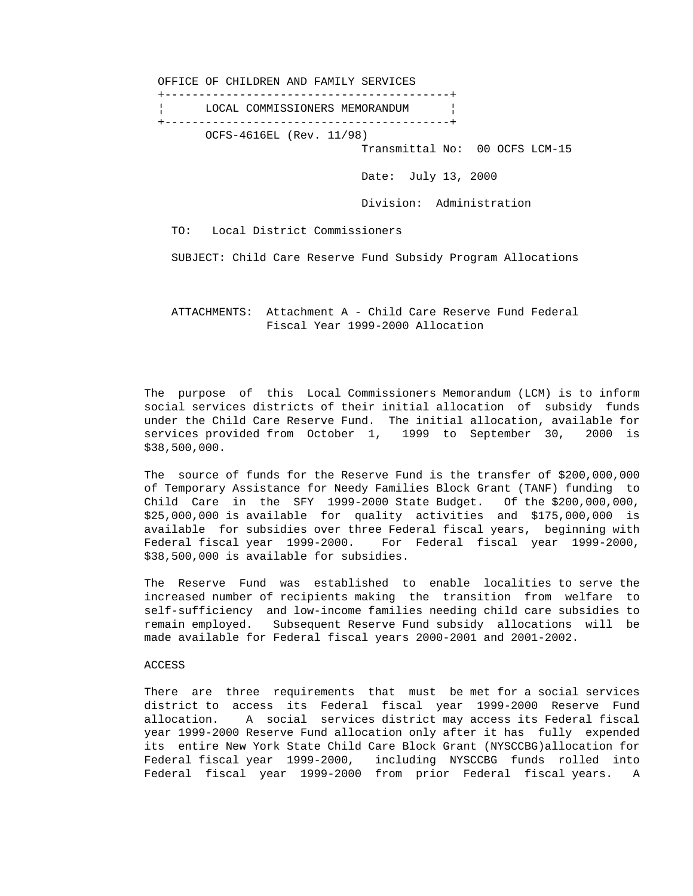OFFICE OF CHILDREN AND FAMILY SERVICES +------------------------------------------+ ¦ LOCAL COMMISSIONERS MEMORANDUM ¦ +------------------------------------------+ OCFS-4616EL (Rev. 11/98) Transmittal No: 00 OCFS LCM-15 Date: July 13, 2000 Division: Administration TO: Local District Commissioners SUBJECT: Child Care Reserve Fund Subsidy Program Allocations

 ATTACHMENTS: Attachment A - Child Care Reserve Fund Federal Fiscal Year 1999-2000 Allocation

 The purpose of this Local Commissioners Memorandum (LCM) is to inform social services districts of their initial allocation of subsidy funds under the Child Care Reserve Fund. The initial allocation, available for services provided from October 1, 1999 to September 30, 2000 is \$38,500,000.

 The source of funds for the Reserve Fund is the transfer of \$200,000,000 of Temporary Assistance for Needy Families Block Grant (TANF) funding to Child Care in the SFY 1999-2000 State Budget. Of the \$200,000,000, \$25,000,000 is available for quality activities and \$175,000,000 is available for subsidies over three Federal fiscal years, beginning with Federal fiscal year 1999-2000. For Federal fiscal year 1999-2000, \$38,500,000 is available for subsidies.

 The Reserve Fund was established to enable localities to serve the increased number of recipients making the transition from welfare to self-sufficiency and low-income families needing child care subsidies to remain employed. Subsequent Reserve Fund subsidy allocations will be made available for Federal fiscal years 2000-2001 and 2001-2002.

#### ACCESS

 There are three requirements that must be met for a social services district to access its Federal fiscal year 1999-2000 Reserve Fund allocation. A social services district may access its Federal fiscal year 1999-2000 Reserve Fund allocation only after it has fully expended its entire New York State Child Care Block Grant (NYSCCBG)allocation for Federal fiscal year 1999-2000, including NYSCCBG funds rolled into Federal fiscal year 1999-2000 from prior Federal fiscal years. A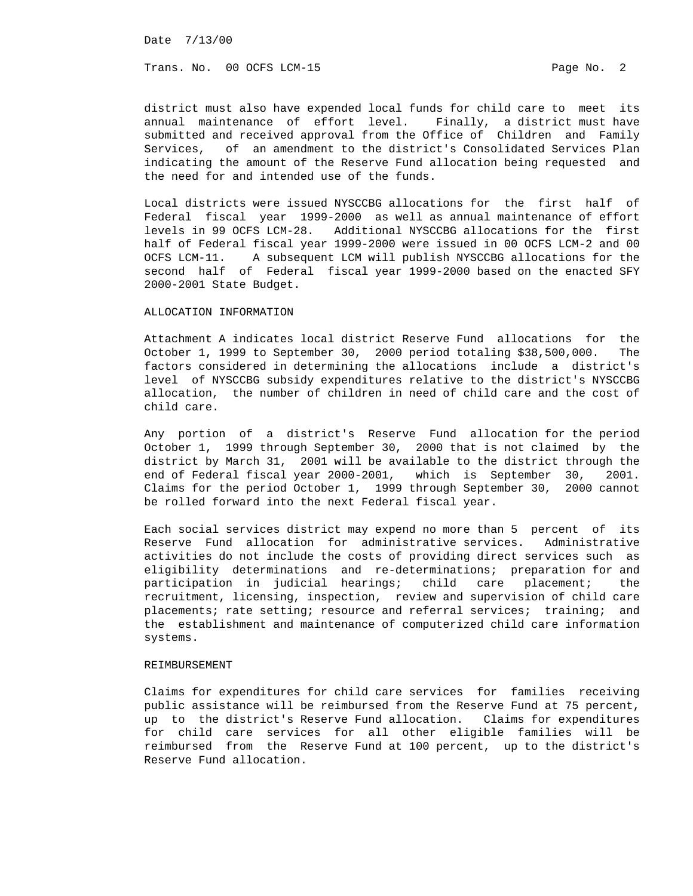Date 7/13/00

Trans. No. 00 OCFS LCM-15 Page No. 2

 district must also have expended local funds for child care to meet its annual maintenance of effort level. Finally, a district must have submitted and received approval from the Office of Children and Family Services, of an amendment to the district's Consolidated Services Plan indicating the amount of the Reserve Fund allocation being requested and the need for and intended use of the funds.

 Local districts were issued NYSCCBG allocations for the first half of Federal fiscal year 1999-2000 as well as annual maintenance of effort levels in 99 OCFS LCM-28. Additional NYSCCBG allocations for the first half of Federal fiscal year 1999-2000 were issued in 00 OCFS LCM-2 and 00 OCFS LCM-11. A subsequent LCM will publish NYSCCBG allocations for the second half of Federal fiscal year 1999-2000 based on the enacted SFY 2000-2001 State Budget.

## ALLOCATION INFORMATION

 Attachment A indicates local district Reserve Fund allocations for the October 1, 1999 to September 30, 2000 period totaling \$38,500,000. The factors considered in determining the allocations include a district's level of NYSCCBG subsidy expenditures relative to the district's NYSCCBG allocation, the number of children in need of child care and the cost of child care.

 Any portion of a district's Reserve Fund allocation for the period October 1, 1999 through September 30, 2000 that is not claimed by the district by March 31, 2001 will be available to the district through the end of Federal fiscal year 2000-2001, which is September 30, 2001. Claims for the period October 1, 1999 through September 30, 2000 cannot be rolled forward into the next Federal fiscal year.

 Each social services district may expend no more than 5 percent of its Reserve Fund allocation for administrative services. Administrative activities do not include the costs of providing direct services such as eligibility determinations and re-determinations; preparation for and participation in judicial hearings; child care placement; the recruitment, licensing, inspection, review and supervision of child care placements; rate setting; resource and referral services; training; and the establishment and maintenance of computerized child care information systems.

#### REIMBURSEMENT

 Claims for expenditures for child care services for families receiving public assistance will be reimbursed from the Reserve Fund at 75 percent, up to the district's Reserve Fund allocation. Claims for expenditures for child care services for all other eligible families will be reimbursed from the Reserve Fund at 100 percent, up to the district's Reserve Fund allocation.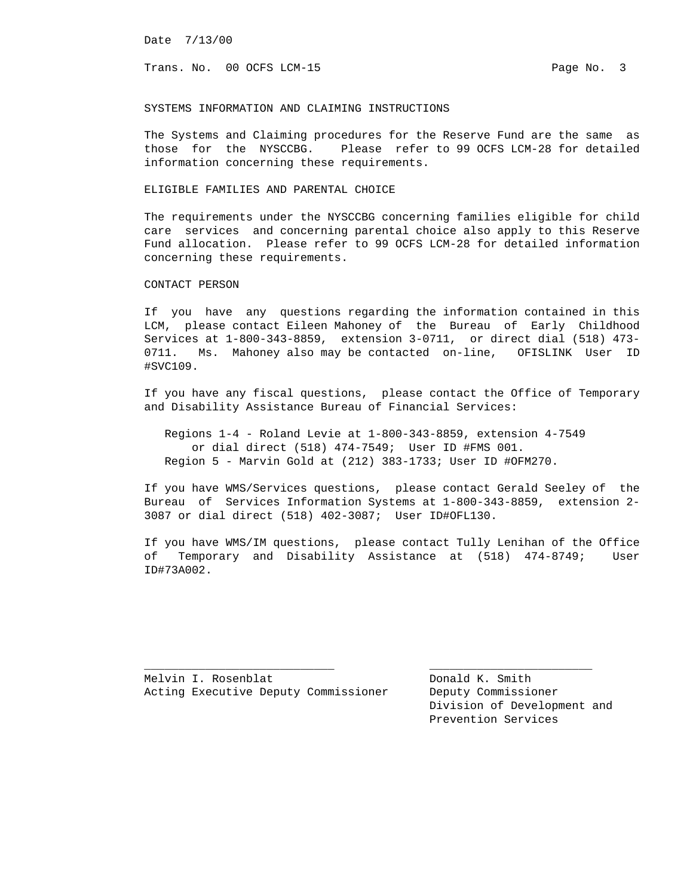Date 7/13/00

Trans. No. 00 OCFS LCM-15 Page No. 3

SYSTEMS INFORMATION AND CLAIMING INSTRUCTIONS

 The Systems and Claiming procedures for the Reserve Fund are the same as those for the NYSCCBG. Please refer to 99 OCFS LCM-28 for detailed information concerning these requirements.

## ELIGIBLE FAMILIES AND PARENTAL CHOICE

 The requirements under the NYSCCBG concerning families eligible for child care services and concerning parental choice also apply to this Reserve Fund allocation. Please refer to 99 OCFS LCM-28 for detailed information concerning these requirements.

### CONTACT PERSON

 If you have any questions regarding the information contained in this LCM, please contact Eileen Mahoney of the Bureau of Early Childhood Services at 1-800-343-8859, extension 3-0711, or direct dial (518) 473- 0711. Ms. Mahoney also may be contacted on-line, OFISLINK User ID #SVC109.

 If you have any fiscal questions, please contact the Office of Temporary and Disability Assistance Bureau of Financial Services:

 Regions 1-4 - Roland Levie at 1-800-343-8859, extension 4-7549 or dial direct (518) 474-7549; User ID #FMS 001. Region 5 - Marvin Gold at (212) 383-1733; User ID #OFM270.

 If you have WMS/Services questions, please contact Gerald Seeley of the Bureau of Services Information Systems at 1-800-343-8859, extension 2- 3087 or dial direct (518) 402-3087; User ID#OFL130.

 If you have WMS/IM questions, please contact Tully Lenihan of the Office of Temporary and Disability Assistance at (518) 474-8749; User ID#73A002.

Melvin I. Rosenblat **Donald K. Smith** Acting Executive Deputy Commissioner Deputy Commissioner

 $\overline{\phantom{a}}$  , and the contribution of the contribution of  $\overline{\phantom{a}}$  , and  $\overline{\phantom{a}}$  , and  $\overline{\phantom{a}}$  , and  $\overline{\phantom{a}}$  , and  $\overline{\phantom{a}}$ 

 Division of Development and Prevention Services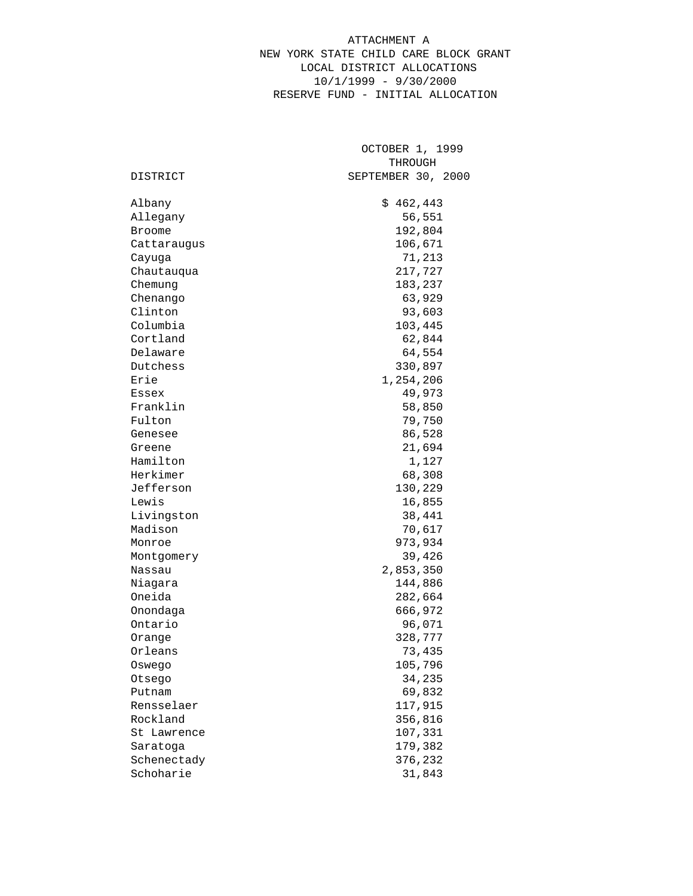# ATTACHMENT A NEW YORK STATE CHILD CARE BLOCK GRANT LOCAL DISTRICT ALLOCATIONS 10/1/1999 - 9/30/2000 RESERVE FUND - INITIAL ALLOCATION

|  |               | OCTOBER 1, 1999<br>THROUGH |  |
|--|---------------|----------------------------|--|
|  |               |                            |  |
|  | DISTRICT      | SEPTEMBER 30, 2000         |  |
|  | Albany        | \$462,443                  |  |
|  | Allegany      | 56,551                     |  |
|  | <b>Broome</b> | 192,804                    |  |
|  | Cattaraugus   | 106,671                    |  |
|  | Cayuga        | 71,213                     |  |
|  | Chautauqua    | 217,727                    |  |
|  | Chemung       | 183,237                    |  |
|  | Chenango      | 63,929                     |  |
|  | Clinton       | 93,603                     |  |
|  | Columbia      | 103,445                    |  |
|  | Cortland      | 62,844                     |  |
|  | Delaware      | 64,554                     |  |
|  | Dutchess      | 330,897                    |  |
|  | Erie          | 1,254,206                  |  |
|  | Essex         | 49,973                     |  |
|  | Franklin      | 58,850                     |  |
|  | Fulton        | 79,750                     |  |
|  | Genesee       | 86,528                     |  |
|  | Greene        | 21,694                     |  |
|  | Hamilton      | 1,127                      |  |
|  | Herkimer      | 68,308                     |  |
|  | Jefferson     | 130,229                    |  |
|  | Lewis         | 16,855                     |  |
|  | Livingston    | 38,441                     |  |
|  | Madison       | 70,617                     |  |
|  | Monroe        | 973,934                    |  |
|  | Montgomery    | 39,426                     |  |
|  | Nassau        | 2,853,350                  |  |
|  | Niagara       | 144,886                    |  |
|  | Oneida        | 282,664                    |  |
|  | Onondaga      | 666,972                    |  |
|  | Ontario       | 96,071                     |  |
|  | Orange        | 328,777                    |  |
|  | Orleans       | 73,435                     |  |
|  | Oswego        | 105,796                    |  |
|  | Otsego        | 34,235                     |  |
|  | Putnam        | 69,832                     |  |
|  | Rensselaer    | 117,915                    |  |
|  | Rockland      | 356,816                    |  |
|  | St Lawrence   | 107,331                    |  |
|  | Saratoga      | 179,382                    |  |
|  | Schenectady   | 376,232                    |  |
|  | Schoharie     | 31,843                     |  |
|  |               |                            |  |